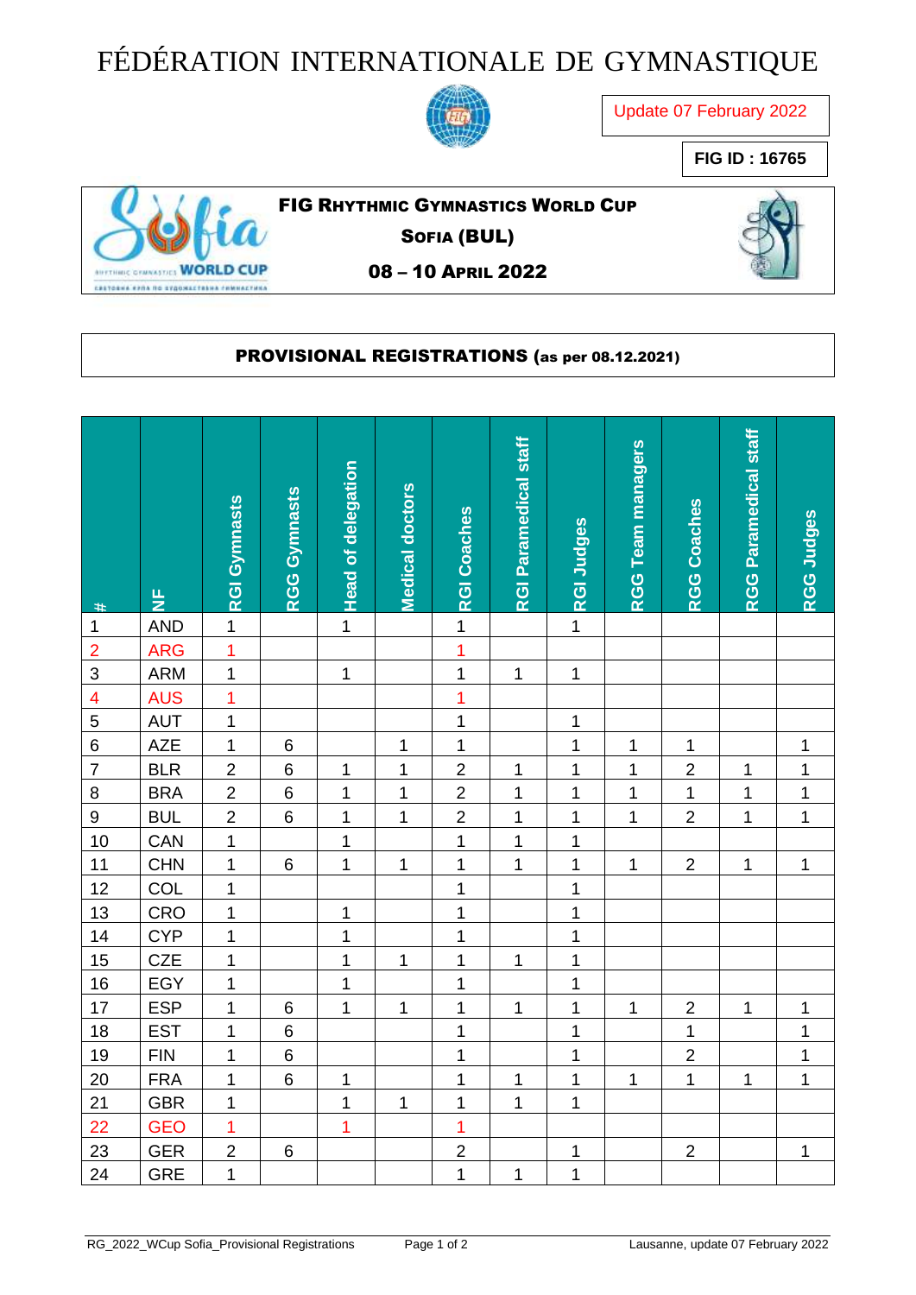## FÉDÉRATION INTERNATIONALE DE GYMNASTIQUE



Update 07 February 2022

**FIG ID : 16765**



FIG RHYTHMIC GYMNASTICS WORLD CUP

SOFIA (BUL)

08 – 10 APRIL 2022

## PROVISIONAL REGISTRATIONS (as per 08.12.2021)

| $\#$                    | 눈          | <b>RGI Gymnasts</b> | <b>RGG Gymnasts</b> | <b>Head of delegation</b> | Medical doctors | <b>RGI Coaches</b> | <b>RGI Paramedical staff</b> | <b>RGI Judges</b> | <b>RGG Team managers</b> | <b>RGG Coaches</b> | RGG Paramedical staff | RGG Judges   |
|-------------------------|------------|---------------------|---------------------|---------------------------|-----------------|--------------------|------------------------------|-------------------|--------------------------|--------------------|-----------------------|--------------|
| $\mathbf{1}$            | <b>AND</b> | $\overline{1}$      |                     | $\overline{1}$            |                 | $\overline{1}$     |                              | $\overline{1}$    |                          |                    |                       |              |
| $\overline{2}$          | <b>ARG</b> | $\overline{1}$      |                     |                           |                 | $\overline{1}$     |                              |                   |                          |                    |                       |              |
| 3                       | <b>ARM</b> | $\overline{1}$      |                     | $\mathbf{1}$              |                 | $\overline{1}$     | 1                            | $\mathbf{1}$      |                          |                    |                       |              |
| $\overline{\mathbf{4}}$ | <b>AUS</b> | $\overline{1}$      |                     |                           |                 | $\overline{1}$     |                              |                   |                          |                    |                       |              |
| $\overline{5}$          | <b>AUT</b> | $\mathbf 1$         |                     |                           |                 | $\mathbf 1$        |                              | $\mathbf 1$       |                          |                    |                       |              |
| $\,6$                   | <b>AZE</b> | $\mathbf{1}$        | $\,6$               |                           | $\mathbf 1$     | $\mathbf{1}$       |                              | $\overline{1}$    | $\mathbf{1}$             | 1                  |                       | $\mathbf 1$  |
| $\overline{7}$          | <b>BLR</b> | $\overline{2}$      | $\,6$               | $\mathbf 1$               | $\mathbf{1}$    | $\overline{2}$     | $\mathbf 1$                  | $\overline{1}$    | $\mathbf 1$              | $\overline{2}$     | 1                     | $\mathbf{1}$ |
| 8                       | <b>BRA</b> | $\overline{2}$      | 6                   | $\mathbf 1$               | $\mathbf 1$     | $\overline{c}$     | $\mathbf 1$                  | $\overline{1}$    | 1                        | $\mathbf 1$        | $\mathbf 1$           | $\mathbf{1}$ |
| $\boldsymbol{9}$        | <b>BUL</b> | $\overline{2}$      | $\,6$               | $\mathbf 1$               | 1               | $\overline{2}$     | 1                            | $\mathbf 1$       | $\mathbf{1}$             | $\overline{2}$     | 1                     | $\mathbf{1}$ |
| 10                      | CAN        | $\overline{1}$      |                     | $\overline{1}$            |                 | $\overline{1}$     | $\mathbf 1$                  | $\overline{1}$    |                          |                    |                       |              |
| 11                      | <b>CHN</b> | $\mathbf 1$         | 6                   | $\mathbf 1$               | $\mathbf 1$     | 1                  | $\mathbf 1$                  | $\mathbf 1$       | 1                        | $\overline{2}$     | 1                     | $\mathbf 1$  |
| 12                      | COL        | $\mathbf 1$         |                     |                           |                 | $\mathbf{1}$       |                              | $\mathbf 1$       |                          |                    |                       |              |
| 13                      | CRO        | $\overline{1}$      |                     | $\mathbf 1$               |                 | $\overline{1}$     |                              | $\overline{1}$    |                          |                    |                       |              |
| 14                      | <b>CYP</b> | $\mathbf 1$         |                     | $\mathbf 1$               |                 | 1                  |                              | $\mathbf{1}$      |                          |                    |                       |              |
| 15                      | <b>CZE</b> | $\mathbf 1$         |                     | $\overline{1}$            | $\mathbf{1}$    | $\overline{1}$     | 1                            | $\overline{1}$    |                          |                    |                       |              |
| 16                      | EGY        | $\mathbf 1$         |                     | $\mathbf 1$               |                 | $\mathbf 1$        |                              | $\mathbf 1$       |                          |                    |                       |              |
| 17                      | <b>ESP</b> | 1                   | 6                   | $\mathbf 1$               | $\mathbf 1$     | $\mathbf 1$        | $\mathbf 1$                  | $\mathbf 1$       | $\mathbf 1$              | $\overline{2}$     | 1                     | $\mathbf 1$  |
| 18                      | <b>EST</b> | $\mathbf 1$         | $\,6$               |                           |                 | $\mathbf{1}$       |                              | $\mathbf 1$       |                          | 1                  |                       | $\mathbf 1$  |
| 19                      | <b>FIN</b> | $\mathbf 1$         | 6                   |                           |                 | $\mathbf{1}$       |                              | $\mathbf 1$       |                          | $\overline{2}$     |                       | $\mathbf 1$  |
| 20                      | <b>FRA</b> | $\mathbf 1$         | $\,6$               | $\mathbf 1$               |                 | 1                  | 1                            | $\mathbf 1$       | $\mathbf{1}$             | $\mathbf 1$        | 1                     | $\mathbf{1}$ |
| 21                      | <b>GBR</b> | $\mathbf{1}$        |                     | $\mathbf 1$               | $\mathbf 1$     | $\mathbf 1$        | $\mathbf 1$                  | $\overline{1}$    |                          |                    |                       |              |
| 22                      | <b>GEO</b> | $\overline{1}$      |                     | $\overline{1}$            |                 | $\overline{1}$     |                              |                   |                          |                    |                       |              |
| 23                      | <b>GER</b> | $\overline{2}$      | 6                   |                           |                 | $\overline{2}$     |                              | 1                 |                          | $\overline{2}$     |                       | $\mathbf 1$  |
| 24                      | <b>GRE</b> | $\overline{1}$      |                     |                           |                 | $\overline{1}$     | $\mathbf{1}$                 | $\overline{1}$    |                          |                    |                       |              |